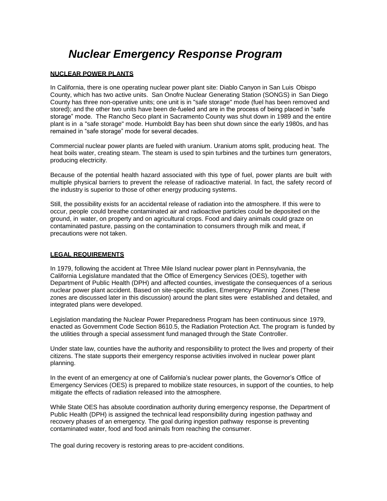# *Nuclear Emergency Response Program*

## **NUCLEAR POWER PLANTS**

In California, there is one operating nuclear power plant site: Diablo Canyon in San Luis Obispo County, which has two active units. San Onofre Nuclear Generating Station (SONGS) in San Diego County has three non-operative units; one unit is in "safe storage" mode (fuel has been removed and stored); and the other two units have been de-fueled and are in the process of being placed in "safe storage" mode. The Rancho Seco plant in Sacramento County was shut down in 1989 and the entire plant is in a "safe storage" mode. Humboldt Bay has been shut down since the early 1980s, and has remained in "safe storage" mode for several decades.

Commercial nuclear power plants are fueled with uranium. Uranium atoms split, producing heat. The heat boils water, creating steam. The steam is used to spin turbines and the turbines turn generators, producing electricity.

Because of the potential health hazard associated with this type of fuel, power plants are built with multiple physical barriers to prevent the release of radioactive material. In fact, the safety record of the industry is superior to those of other energy producing systems.

Still, the possibility exists for an accidental release of radiation into the atmosphere. If this were to occur, people could breathe contaminated air and radioactive particles could be deposited on the ground, in water, on property and on agricultural crops. Food and dairy animals could graze on contaminated pasture, passing on the contamination to consumers through milk and meat, if precautions were not taken.

## **LEGAL REQUIREMENTS**

In 1979, following the accident at Three Mile Island nuclear power plant in Pennsylvania, the California Legislature mandated that the Office of Emergency Services (OES), together with Department of Public Health (DPH) and affected counties, investigate the consequences of a serious nuclear power plant accident. Based on site-specific studies, Emergency Planning Zones (These zones are discussed later in this discussion) around the plant sites were established and detailed, and integrated plans were developed.

Legislation mandating the Nuclear Power Preparedness Program has been continuous since 1979, enacted as Government Code Section 8610.5, the Radiation Protection Act. The program is funded by the utilities through a special assessment fund managed through the State Controller.

Under state law, counties have the authority and responsibility to protect the lives and property of their citizens. The state supports their emergency response activities involved in nuclear power plant planning.

In the event of an emergency at one of California's nuclear power plants, the Governor's Office of Emergency Services (OES) is prepared to mobilize state resources, in support of the counties, to help mitigate the effects of radiation released into the atmosphere.

While State OES has absolute coordination authority during emergency response, the Department of Public Health (DPH) is assigned the technical lead responsibility during ingestion pathway and recovery phases of an emergency. The goal during ingestion pathway response is preventing contaminated water, food and food animals from reaching the consumer.

The goal during recovery is restoring areas to pre-accident conditions.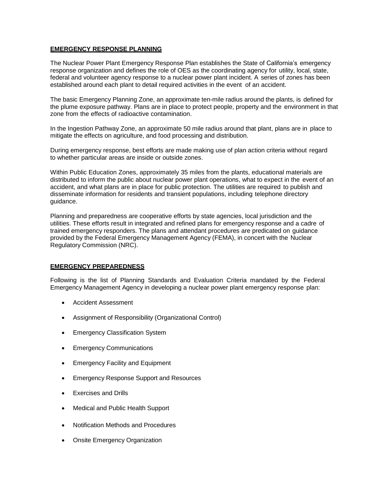# **EMERGENCY RESPONSE PLANNING**

The Nuclear Power Plant Emergency Response Plan establishes the State of California's emergency response organization and defines the role of OES as the coordinating agency for utility, local, state, federal and volunteer agency response to a nuclear power plant incident. A series of zones has been established around each plant to detail required activities in the event of an accident.

The basic Emergency Planning Zone, an approximate ten-mile radius around the plants, is defined for the plume exposure pathway. Plans are in place to protect people, property and the environment in that zone from the effects of radioactive contamination.

In the Ingestion Pathway Zone, an approximate 50 mile radius around that plant, plans are in place to mitigate the effects on agriculture, and food processing and distribution.

During emergency response, best efforts are made making use of plan action criteria without regard to whether particular areas are inside or outside zones.

Within Public Education Zones, approximately 35 miles from the plants, educational materials are distributed to inform the public about nuclear power plant operations, what to expect in the event of an accident, and what plans are in place for public protection. The utilities are required to publish and disseminate information for residents and transient populations, including telephone directory guidance.

Planning and preparedness are cooperative efforts by state agencies, local jurisdiction and the utilities. These efforts result in integrated and refined plans for emergency response and a cadre of trained emergency responders. The plans and attendant procedures are predicated on guidance provided by the Federal Emergency Management Agency (FEMA), in concert with the Nuclear Regulatory Commission (NRC).

## **EMERGENCY PREPAREDNESS**

Following is the list of Planning Standards and Evaluation Criteria mandated by the Federal Emergency Management Agency in developing a nuclear power plant emergency response plan:

- Accident Assessment
- Assignment of Responsibility (Organizational Control)
- Emergency Classification System
- Emergency Communications
- Emergency Facility and Equipment
- Emergency Response Support and Resources
- Exercises and Drills
- Medical and Public Health Support
- Notification Methods and Procedures
- Onsite Emergency Organization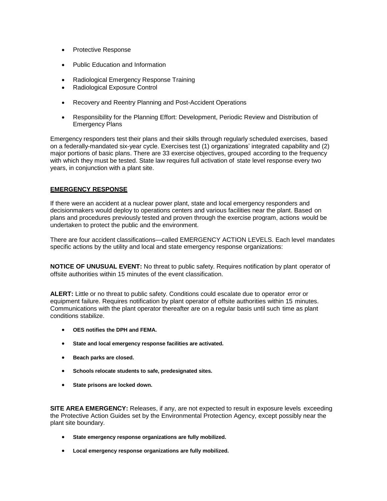- Protective Response
- Public Education and Information
- Radiological Emergency Response Training
- Radiological Exposure Control
- Recovery and Reentry Planning and Post-Accident Operations
- Responsibility for the Planning Effort: Development, Periodic Review and Distribution of Emergency Plans

Emergency responders test their plans and their skills through regularly scheduled exercises, based on a federally-mandated six-year cycle. Exercises test (1) organizations' integrated capability and (2) major portions of basic plans. There are 33 exercise objectives, grouped according to the frequency with which they must be tested. State law requires full activation of state level response every two years, in conjunction with a plant site.

# **EMERGENCY RESPONSE**

If there were an accident at a nuclear power plant, state and local emergency responders and decisionmakers would deploy to operations centers and various facilities near the plant. Based on plans and procedures previously tested and proven through the exercise program, actions would be undertaken to protect the public and the environment.

There are four accident classifications—called EMERGENCY ACTION LEVELS. Each level mandates specific actions by the utility and local and state emergency response organizations:

**NOTICE OF UNUSUAL EVENT:** No threat to public safety. Requires notification by plant operator of offsite authorities within 15 minutes of the event classification.

**ALERT:** Little or no threat to public safety. Conditions could escalate due to operator error or equipment failure. Requires notification by plant operator of offsite authorities within 15 minutes. Communications with the plant operator thereafter are on a regular basis until such time as plant conditions stabilize.

- **OES notifies the DPH and FEMA.**
- **State and local emergency response facilities are activated.**
- **Beach parks are closed.**
- **Schools relocate students to safe, predesignated sites.**
- **State prisons are locked down.**

**SITE AREA EMERGENCY:** Releases, if any, are not expected to result in exposure levels exceeding the Protective Action Guides set by the Environmental Protection Agency, except possibly near the plant site boundary.

- **State emergency response organizations are fully mobilized.**
- **Local emergency response organizations are fully mobilized.**